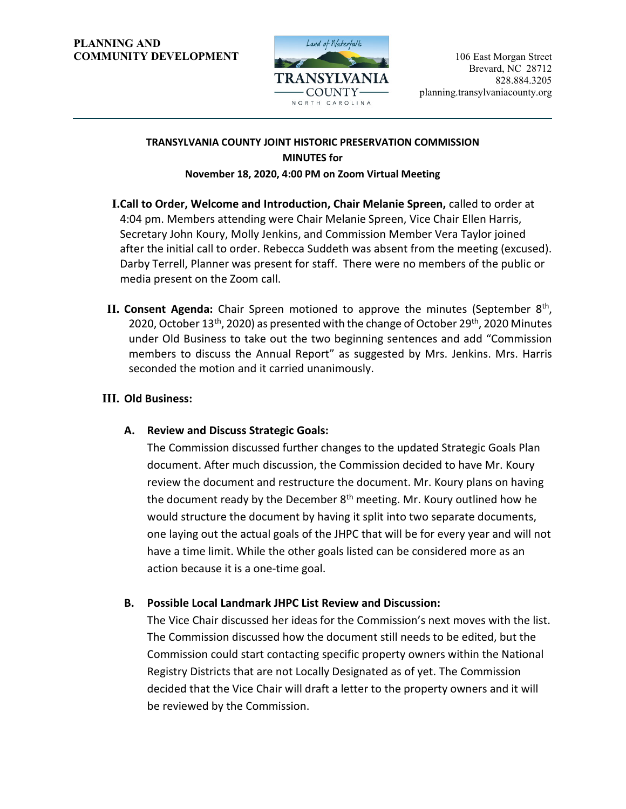#### **PLANNING AND COMMUNITY DEVELOPMENT** 106 East Morgan Street



# **TRANSYLVANIA COUNTY JOINT HISTORIC PRESERVATION COMMISSION MINUTES for**

## **November 18, 2020, 4:00 PM on Zoom Virtual Meeting**

- **I.Call to Order, Welcome and Introduction, Chair Melanie Spreen,** called to order at 4:04 pm. Members attending were Chair Melanie Spreen, Vice Chair Ellen Harris, Secretary John Koury, Molly Jenkins, and Commission Member Vera Taylor joined after the initial call to order. Rebecca Suddeth was absent from the meeting (excused). Darby Terrell, Planner was present for staff. There were no members of the public or media present on the Zoom call.
- **II. Consent Agenda:** Chair Spreen motioned to approve the minutes (September 8<sup>th</sup>, 2020, October 13<sup>th</sup>, 2020) as presented with the change of October 29<sup>th</sup>, 2020 Minutes under Old Business to take out the two beginning sentences and add "Commission members to discuss the Annual Report" as suggested by Mrs. Jenkins. Mrs. Harris seconded the motion and it carried unanimously.

# **III. Old Business:**

**A. Review and Discuss Strategic Goals:**

The Commission discussed further changes to the updated Strategic Goals Plan document. After much discussion, the Commission decided to have Mr. Koury review the document and restructure the document. Mr. Koury plans on having the document ready by the December  $8<sup>th</sup>$  meeting. Mr. Koury outlined how he would structure the document by having it split into two separate documents, one laying out the actual goals of the JHPC that will be for every year and will not have a time limit. While the other goals listed can be considered more as an action because it is a one-time goal.

# **B. Possible Local Landmark JHPC List Review and Discussion:**

The Vice Chair discussed her ideas for the Commission's next moves with the list. The Commission discussed how the document still needs to be edited, but the Commission could start contacting specific property owners within the National Registry Districts that are not Locally Designated as of yet. The Commission decided that the Vice Chair will draft a letter to the property owners and it will be reviewed by the Commission.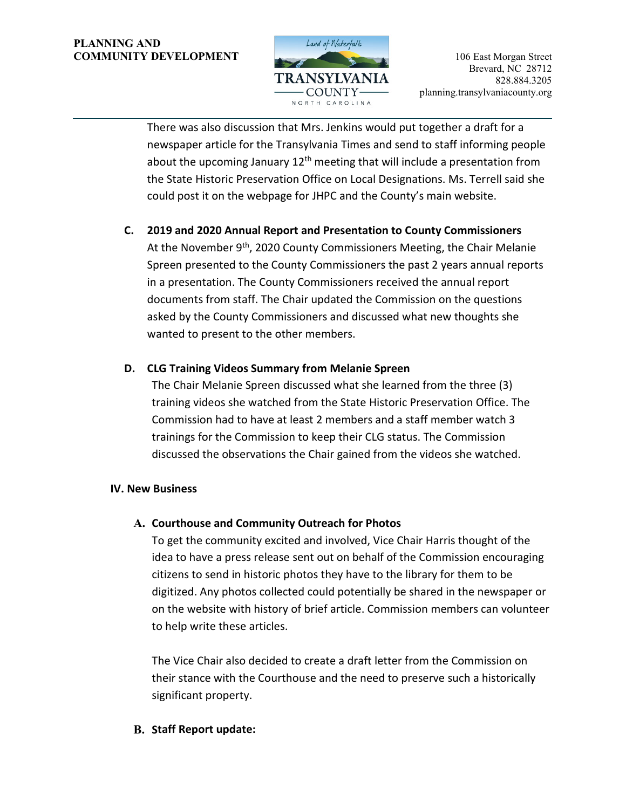#### **PLANNING AND COMMUNITY DEVELOPMENT** 106 East Morgan Street



There was also discussion that Mrs. Jenkins would put together a draft for a newspaper article for the Transylvania Times and send to staff informing people about the upcoming January  $12<sup>th</sup>$  meeting that will include a presentation from the State Historic Preservation Office on Local Designations. Ms. Terrell said she could post it on the webpage for JHPC and the County's main website.

**C. 2019 and 2020 Annual Report and Presentation to County Commissioners** At the November 9<sup>th</sup>, 2020 County Commissioners Meeting, the Chair Melanie Spreen presented to the County Commissioners the past 2 years annual reports in a presentation. The County Commissioners received the annual report documents from staff. The Chair updated the Commission on the questions asked by the County Commissioners and discussed what new thoughts she

# **D. CLG Training Videos Summary from Melanie Spreen**

wanted to present to the other members.

The Chair Melanie Spreen discussed what she learned from the three (3) training videos she watched from the State Historic Preservation Office. The Commission had to have at least 2 members and a staff member watch 3 trainings for the Commission to keep their CLG status. The Commission discussed the observations the Chair gained from the videos she watched.

## **IV. New Business**

## **A. Courthouse and Community Outreach for Photos**

To get the community excited and involved, Vice Chair Harris thought of the idea to have a press release sent out on behalf of the Commission encouraging citizens to send in historic photos they have to the library for them to be digitized. Any photos collected could potentially be shared in the newspaper or on the website with history of brief article. Commission members can volunteer to help write these articles.

The Vice Chair also decided to create a draft letter from the Commission on their stance with the Courthouse and the need to preserve such a historically significant property.

## **B. Staff Report update:**